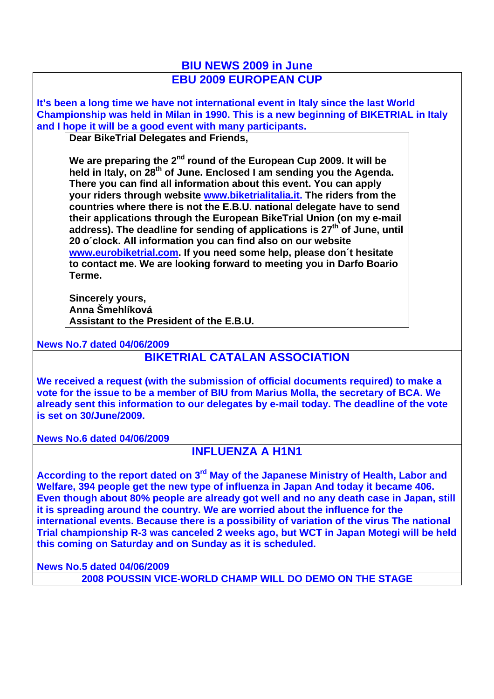## **BIU NEWS 2009 in June EBU 2009 EUROPEAN CUP**

**It's been a long time we have not international event in Italy since the last World Championship was held in Milan in 1990. This is a new beginning of BIKETRIAL in Italy and I hope it will be a good event with many participants.** 

**Dear BikeTrial Delegates and Friends,**

We are preparing the 2<sup>nd</sup> round of the European Cup 2009. It will be held in Italy, on 28<sup>th</sup> of June. Enclosed I am sending you the Agenda. **There you can find all information about this event. You can apply your riders through website www.biketrialitalia.it. The riders from the countries where there is not the E.B.U. national delegate have to send their applications through the European BikeTrial Union (on my e-mail**  address). The deadline for sending of applications is 27<sup>th</sup> of June, until **20 o´clock. All information you can find also on our website www.eurobiketrial.com. If you need some help, please don´t hesitate to contact me. We are looking forward to meeting you in Darfo Boario Terme.**

**Sincerely yours, Anna Šmehlíková Assistant to the President of the E.B.U.**

## **News No.7 dated 04/06/2009**

## **BIKETRIAL CATALAN ASSOCIATION**

**We received a request (with the submission of official documents required) to make a vote for the issue to be a member of BIU from Marius Molla, the secretary of BCA. We already sent this information to our delegates by e-mail today. The deadline of the vote is set on 30/June/2009.** 

**News No.6 dated 04/06/2009**

## **INFLUENZA A H1N1**

According to the report dated on 3<sup>rd</sup> May of the Japanese Ministry of Health, Labor and **Welfare, 394 people get the new type of influenza in Japan And today it became 406. Even though about 80% people are already got well and no any death case in Japan, still it is spreading around the country. We are worried about the influence for the international events. Because there is a possibility of variation of the virus The national Trial championship R-3 was canceled 2 weeks ago, but WCT in Japan Motegi will be held this coming on Saturday and on Sunday as it is scheduled.**

**News No.5 dated 04/06/2009**

**2008 POUSSIN VICE-WORLD CHAMP WILL DO DEMO ON THE STAGE**